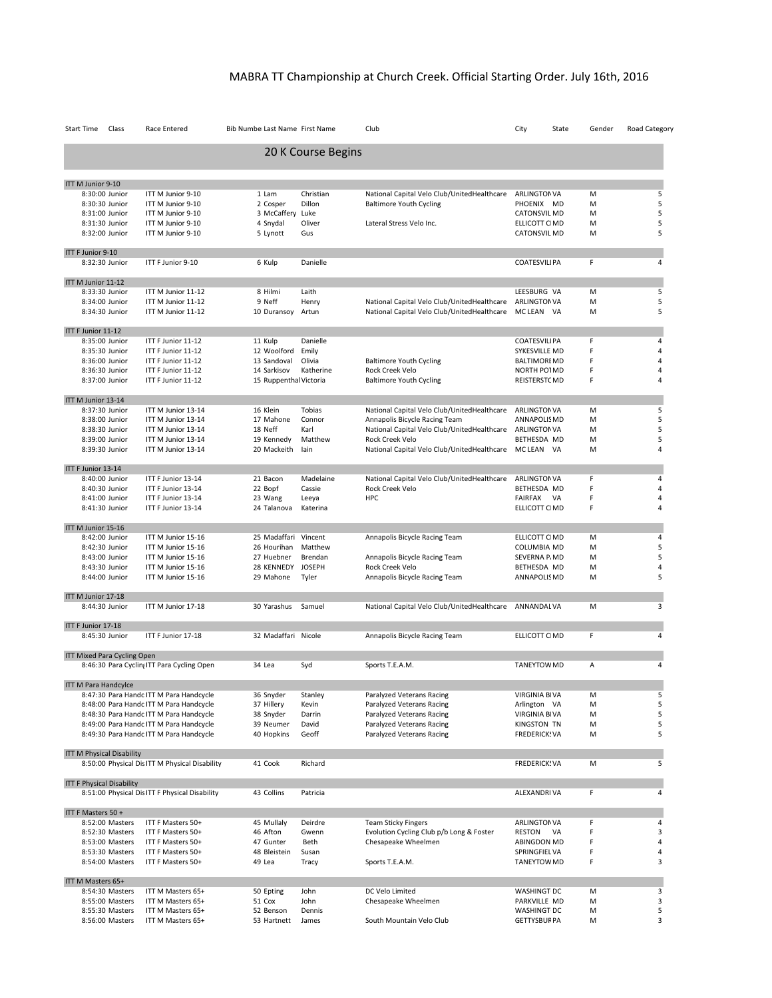## MABRA TT Championship at Church Creek. Official Starting Order. July 16th, 2016

| Start Time                  | Class                              | Race Entered                                                                       | Bib Number Last Name First Name       |                        | Club                                             | City<br>State                        | Gender | Road Category                    |
|-----------------------------|------------------------------------|------------------------------------------------------------------------------------|---------------------------------------|------------------------|--------------------------------------------------|--------------------------------------|--------|----------------------------------|
|                             |                                    |                                                                                    |                                       | 20 K Course Begins     |                                                  |                                      |        |                                  |
| ITT M Junior 9-10           |                                    |                                                                                    |                                       |                        |                                                  |                                      |        |                                  |
|                             | 8:30:00 Junior                     | ITT M Junior 9-10                                                                  | 1 Lam                                 | Christian              | National Capital Velo Club/UnitedHealthcare      | <b>ARLINGTON VA</b>                  | M      | 5                                |
|                             | 8:30:30 Junior                     | ITT M Junior 9-10                                                                  | 2 Cosper                              | Dillon                 | <b>Baltimore Youth Cycling</b>                   | PHOENIX MD                           | M      | 5                                |
|                             | 8:31:00 Junior                     | ITT M Junior 9-10                                                                  | 3 McCaffery Luke                      |                        |                                                  | <b>CATONSVIL MD</b>                  | M      | 5                                |
|                             | 8:31:30 Junior                     | ITT M Junior 9-10                                                                  | 4 Snydal                              | Oliver                 | Lateral Stress Velo Inc.                         | ELLICOTT CIMD                        | M      | 5                                |
|                             | 8:32:00 Junior                     | ITT M Junior 9-10                                                                  | 5 Lynott                              | Gus                    |                                                  | <b>CATONSVIL MD</b>                  | M      | 5                                |
| ITT F Junior 9-10           |                                    |                                                                                    |                                       |                        |                                                  |                                      |        |                                  |
|                             | 8:32:30 Junior                     | ITT F Junior 9-10                                                                  | 6 Kulp                                | Danielle               |                                                  | <b>COATESVILIPA</b>                  | F      | 4                                |
| ITT M Junior 11-12          |                                    |                                                                                    |                                       |                        |                                                  |                                      |        |                                  |
|                             | 8:33:30 Junior                     | ITT M Junior 11-12                                                                 | 8 Hilmi                               | Laith                  |                                                  | LEESBURG VA                          | M      | 5                                |
|                             | 8:34:00 Junior                     | ITT M Junior 11-12                                                                 | 9 Neff                                | Henry                  | National Capital Velo Club/UnitedHealthcare      | <b>ARLINGTON VA</b>                  | M      | 5                                |
|                             | 8:34:30 Junior                     | ITT M Junior 11-12                                                                 | 10 Duransoy Artun                     |                        | National Capital Velo Club/UnitedHealthcare      | MC LEAN VA                           | M      | 5                                |
| ITT F Junior 11-12          |                                    |                                                                                    |                                       |                        |                                                  |                                      |        |                                  |
|                             | 8:35:00 Junior                     | ITT F Junior 11-12                                                                 | 11 Kulp                               | Danielle               |                                                  | <b>COATESVILIPA</b>                  | F      | 4                                |
|                             | 8:35:30 Junior                     | ITT F Junior 11-12                                                                 | 12 Woolford                           | Emily                  |                                                  | SYKESVILLE MD                        | F      | 4                                |
|                             | 8:36:00 Junior                     | ITT F Junior 11-12                                                                 | 13 Sandoval                           | Olivia                 | <b>Baltimore Youth Cycling</b>                   | <b>BALTIMOREMD</b>                   | F      | $\overline{4}$                   |
|                             | 8:36:30 Junior<br>8:37:00 Junior   | ITT F Junior 11-12<br>ITT F Junior 11-12                                           | 14 Sarkisov<br>15 Ruppenthal Victoria | Katherine              | Rock Creek Velo                                  | NORTH PO1MD                          | F<br>F | $\overline{4}$<br>$\overline{4}$ |
|                             |                                    |                                                                                    |                                       |                        | <b>Baltimore Youth Cycling</b>                   | REISTERSTCMD                         |        |                                  |
| ITT M Junior 13-14          |                                    |                                                                                    |                                       |                        |                                                  |                                      |        |                                  |
|                             | 8:37:30 Junior                     | ITT M Junior 13-14                                                                 | 16 Klein                              | Tobias                 | National Capital Velo Club/UnitedHealthcare      | <b>ARLINGTON VA</b>                  | M      | 5                                |
|                             | 8:38:00 Junior                     | ITT M Junior 13-14                                                                 | 17 Mahone                             | Connor                 | Annapolis Bicycle Racing Team                    | ANNAPOLIS MD                         | M      | 5                                |
|                             | 8:38:30 Junior                     | ITT M Junior 13-14                                                                 | 18 Neff                               | Karl                   | National Capital Velo Club/UnitedHealthcare      | <b>ARLINGTONVA</b>                   | M      | 5                                |
|                             | 8:39:00 Junior                     | ITT M Junior 13-14                                                                 | 19 Kennedy                            | Matthew                | Rock Creek Velo                                  | BETHESDA MD                          | M      | 5<br>$\sqrt{4}$                  |
|                             | 8:39:30 Junior                     | ITT M Junior 13-14                                                                 | 20 Mackeith                           | lain                   | National Capital Velo Club/UnitedHealthcare      | MC LEAN VA                           | M      |                                  |
| ITT F Junior 13-14          |                                    |                                                                                    |                                       |                        |                                                  |                                      |        |                                  |
|                             | 8:40:00 Junior                     | ITT F Junior 13-14                                                                 | 21 Bacon                              | Madelaine              | National Capital Velo Club/UnitedHealthcare      | <b>ARLINGTONVA</b>                   | F      | $\overline{4}$                   |
|                             | 8:40:30 Junior                     | ITT F Junior 13-14                                                                 | 22 Bopf                               | Cassie                 | Rock Creek Velo                                  | BETHESDA MD                          | F      | $\overline{4}$                   |
|                             | 8:41:00 Junior<br>8:41:30 Junior   | ITT F Junior 13-14<br>ITT F Junior 13-14                                           | 23 Wang<br>24 Talanova                | Leeya<br>Katerina      | <b>HPC</b>                                       | FAIRFAX VA<br>ELLICOTT CIMD          | F<br>F | $\overline{4}$<br>$\overline{4}$ |
|                             |                                    |                                                                                    |                                       |                        |                                                  |                                      |        |                                  |
| ITT M Junior 15-16          |                                    |                                                                                    |                                       |                        |                                                  |                                      |        |                                  |
|                             | 8:42:00 Junior                     | ITT M Junior 15-16                                                                 | 25 Madaffari Vincent                  |                        | Annapolis Bicycle Racing Team                    | ELLICOTT CIMD                        | M      | $\overline{4}$                   |
|                             | 8:42:30 Junior                     | ITT M Junior 15-16                                                                 | 26 Hourihan                           | Matthew                |                                                  | COLUMBIA MD                          | M      | 5                                |
|                             | 8:43:00 Junior                     | ITT M Junior 15-16                                                                 | 27 Huebner                            | Brendan                | Annapolis Bicycle Racing Team                    | SEVERNA P/MD                         | M      | 5                                |
|                             | 8:43:30 Junior<br>8:44:00 Junior   | ITT M Junior 15-16<br>ITT M Junior 15-16                                           | 28 KENNEDY<br>29 Mahone               | <b>JOSEPH</b><br>Tyler | Rock Creek Velo<br>Annapolis Bicycle Racing Team | BETHESDA MD<br>ANNAPOLIS MD          | M<br>M | 4<br>5                           |
|                             |                                    |                                                                                    |                                       |                        |                                                  |                                      |        |                                  |
| ITT M Junior 17-18          | 8:44:30 Junior                     | ITT M Junior 17-18                                                                 | 30 Yarashus                           | Samuel                 | National Capital Velo Club/UnitedHealthcare      | ANNANDAL VA                          | M      | 3                                |
|                             |                                    |                                                                                    |                                       |                        |                                                  |                                      |        |                                  |
| ITT F Junior 17-18          | 8:45:30 Junior                     | ITT F Junior 17-18                                                                 | 32 Madaffari Nicole                   |                        | Annapolis Bicycle Racing Team                    | ELLICOTT CIMD                        | F      | 4                                |
|                             |                                    |                                                                                    |                                       |                        |                                                  |                                      |        |                                  |
|                             | ITT Mixed Para Cycling Open        | 8:46:30 Para Cyclin ITT Para Cycling Open                                          | 34 Lea                                | Syd                    | Sports T.E.A.M.                                  | <b>TANEYTOW MD</b>                   | Α      | 4                                |
|                             |                                    |                                                                                    |                                       |                        |                                                  |                                      |        |                                  |
| <b>III M Para Handcylce</b> |                                    |                                                                                    |                                       |                        | Paralyzed Veterans Racing                        |                                      |        |                                  |
|                             |                                    | 8:47:30 Para Handc ITT M Para Handcycle<br>8:48:00 Para Handc ITT M Para Handcycle | 36 Snyder<br>37 Hillery               | Stanley<br>Kevin       | Paralyzed Veterans Racing                        | <b>VIRGINIA BIVA</b><br>Arlington VA | M<br>M | 5<br>5                           |
|                             |                                    | 8:48:30 Para Handc ITT M Para Handcycle                                            | 38 Snyder                             | Darrin                 | Paralyzed Veterans Racing                        | <b>VIRGINIA BIVA</b>                 | M      | 5                                |
|                             |                                    | 8:49:00 Para Handc ITT M Para Handcycle                                            | 39 Neumer                             | David                  | Paralyzed Veterans Racing                        | <b>KINGSTON TN</b>                   | M      | 5                                |
|                             |                                    | 8:49:30 Para Handc ITT M Para Handcycle                                            | 40 Hopkins                            | Geoff                  | Paralyzed Veterans Racing                        | <b>FREDERICK: VA</b>                 | M      | 5                                |
|                             | <b>ITT M Physical Disability</b>   |                                                                                    |                                       |                        |                                                  |                                      |        |                                  |
|                             |                                    | 8:50:00 Physical Dis ITT M Physical Disability                                     | 41 Cook                               | Richard                |                                                  | <b>FREDERICK: VA</b>                 | M      | 5                                |
|                             | <b>ITT F Physical Disability</b>   |                                                                                    |                                       |                        |                                                  |                                      |        |                                  |
|                             |                                    | 8:51:00 Physical Dis ITT F Physical Disability                                     | 43 Collins                            | Patricia               |                                                  | ALEXANDRI VA                         | F      | 4                                |
| ITT F Masters 50 +          |                                    |                                                                                    |                                       |                        |                                                  |                                      |        |                                  |
|                             | 8:52:00 Masters                    | ITT F Masters 50+                                                                  | 45 Mullaly                            | Deirdre                | <b>Team Sticky Fingers</b>                       | <b>ARLINGTON VA</b>                  | F      | 4                                |
|                             | 8:52:30 Masters                    | ITT F Masters 50+                                                                  | 46 Afton                              | Gwenn                  | Evolution Cycling Club p/b Long & Foster         | RESTON<br>VA                         | F      | 3                                |
|                             | 8:53:00 Masters                    | ITT F Masters 50+                                                                  | 47 Gunter                             | Beth                   | Chesapeake Wheelmen                              | ABINGDON MD                          | F      | 4                                |
|                             | 8:53:30 Masters                    | ITT F Masters 50+                                                                  | 48 Bleistein                          | Susan                  |                                                  | SPRINGFIEL VA                        | F<br>F | 4<br>3                           |
|                             | 8:54:00 Masters                    | ITT F Masters 50+                                                                  | 49 Lea                                | Tracy                  | Sports T.E.A.M.                                  | TANEYTOW MD                          |        |                                  |
| ITT M Masters 65+           |                                    |                                                                                    |                                       |                        |                                                  |                                      |        |                                  |
|                             | 8:54:30 Masters                    | ITT M Masters 65+                                                                  | 50 Epting                             | John                   | DC Velo Limited                                  | WASHINGT DC                          | M      | 3                                |
|                             | 8:55:00 Masters                    | ITT M Masters 65+                                                                  | 51 Cox                                | John                   | Chesapeake Wheelmen                              | PARKVILLE MD                         | M      | 3                                |
|                             | 8:55:30 Masters<br>8:56:00 Masters | ITT M Masters 65+<br>ITT M Masters 65+                                             | 52 Benson                             | Dennis<br>James        | South Mountain Velo Club                         | WASHINGT DC<br><b>GETTYSBURPA</b>    | M<br>М | 5<br>3                           |
|                             |                                    |                                                                                    | 53 Hartnett                           |                        |                                                  |                                      |        |                                  |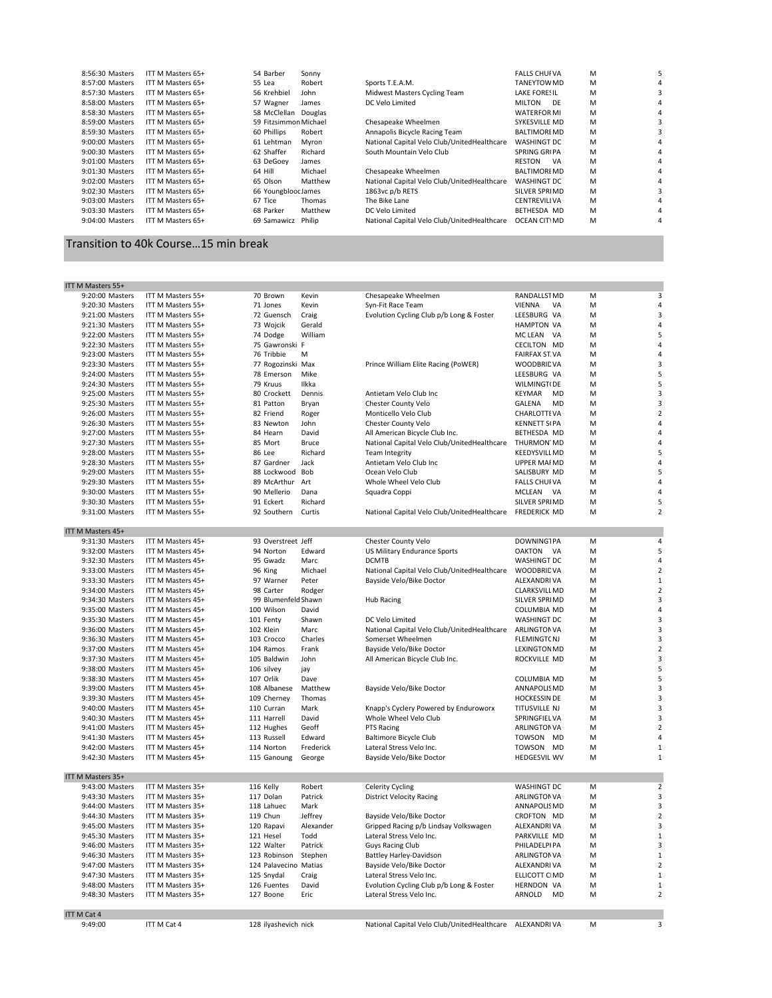| 8:56:30 Masters   | ITT M Masters 65+ | 54 Barber             | Sonny   |                                             | <b>FALLS CHUFVA</b> | M |  |
|-------------------|-------------------|-----------------------|---------|---------------------------------------------|---------------------|---|--|
| 8:57:00 Masters   | ITT M Masters 65+ | 55 Lea                | Robert  | Sports T.E.A.M.                             | TANEYTOW MD         | м |  |
| 8:57:30 Masters   | ITT M Masters 65+ | 56 Krehbiel           | John    | Midwest Masters Cycling Team                | <b>LAKE FORESIL</b> | м |  |
| 8:58:00 Masters   | ITT M Masters 65+ | 57 Wagner             | James   | DC Velo Limited                             | <b>MILTON</b><br>DF | м |  |
| 8:58:30 Masters   | ITT M Masters 65+ | 58 McClellan          | Douglas |                                             | <b>WATERFOR MI</b>  | M |  |
| 8:59:00 Masters   | ITT M Masters 65+ | 59 Fitzsimmon Michael |         | Chesapeake Wheelmen                         | SYKESVILLE MD       | м |  |
| 8:59:30 Masters   | ITT M Masters 65+ | 60 Phillips           | Robert  | Annapolis Bicycle Racing Team               | <b>BALTIMOREMD</b>  | м |  |
| 9:00:00 Masters   | ITT M Masters 65+ | 61 Lehtman            | Mvron   | National Capital Velo Club/UnitedHealthcare | <b>WASHINGT DC</b>  | м |  |
| 9:00:30 Masters   | ITT M Masters 65+ | 62 Shaffer            | Richard | South Mountain Velo Club                    | <b>SPRING GRIPA</b> | M |  |
| $9:01:00$ Masters | ITT M Masters 65+ | 63 DeGoev             | James   |                                             | <b>RESTON</b><br>VA | M |  |
| 9:01:30 Masters   | ITT M Masters 65+ | 64 Hill               | Michael | Chesapeake Wheelmen                         | <b>BALTIMOREMD</b>  | м |  |
| 9:02:00 Masters   | ITT M Masters 65+ | 65 Olson              | Matthew | National Capital Velo Club/UnitedHealthcare | <b>WASHINGT DC</b>  | M |  |
| 9:02:30 Masters   | ITT M Masters 65+ | 66 Youngblooc James   |         | 1863vc p/b RETS                             | SILVER SPRIMD       | м |  |
| 9:03:00 Masters   | ITT M Masters 65+ | 67 Tice               | Thomas  | The Bike Lane                               | <b>CENTREVILIVA</b> | м |  |
| 9:03:30 Masters   | ITT M Masters 65+ | 68 Parker             | Matthew | DC Velo Limited                             | BETHESDA MD         | м |  |
| 9:04:00 Masters   | ITT M Masters 65+ | 69 Samawicz           | Philip  | National Capital Velo Club/UnitedHealthcare | OCEAN CITYMD        | M |  |
|                   |                   |                       |         |                                             |                     |   |  |

## Transition to 40k Course...15 min break

| ITT M Masters 55+                  |                                        |                           |                 |                                                          |                            |        |                         |
|------------------------------------|----------------------------------------|---------------------------|-----------------|----------------------------------------------------------|----------------------------|--------|-------------------------|
| 9:20:00 Masters                    | ITT M Masters 55+                      | 70 Brown                  | Kevin           | Chesapeake Wheelmen                                      | RANDALLST MD               | M      | 3                       |
| 9:20:30 Masters                    | ITT M Masters 55+                      | 71 Jones                  | Kevin           | Syn-Fit Race Team                                        | VIENNA<br>VA               | M      | $\sqrt{4}$              |
| 9:21:00 Masters                    | ITT M Masters 55+                      | 72 Guensch                | Craig           | Evolution Cycling Club p/b Long & Foster                 | LEESBURG VA                | M      | $\overline{3}$          |
| 9:21:30 Masters                    | ITT M Masters 55+                      | 73 Wojcik                 | Gerald          |                                                          | <b>HAMPTON VA</b>          | M      | $\overline{a}$          |
| 9:22:00 Masters                    | ITT M Masters 55+                      | 74 Dodge                  | William         |                                                          | MC LEAN<br>VA              | M      | 5                       |
| 9:22:30 Masters                    | ITT M Masters 55+                      | 75 Gawronski F            |                 |                                                          | <b>CECILTON MD</b>         | M      | $\sqrt{4}$              |
| 9:23:00 Masters                    | ITT M Masters 55+                      | 76 Tribbie                | M               |                                                          | <b>FAIRFAX ST.VA</b>       | M      | $\overline{4}$          |
| 9:23:30 Masters                    | ITT M Masters 55+                      | 77 Rogozinski Max         |                 | Prince William Elite Racing (PoWER)                      | <b>WOODBRIDVA</b>          | M      | $\overline{\mathbf{3}}$ |
| 9:24:00 Masters                    | ITT M Masters 55+                      | 78 Emerson                | Mike            |                                                          | LEESBURG VA                | M      | 5                       |
| 9:24:30 Masters                    | ITT M Masters 55+                      | 79 Kruus                  | Ilkka           |                                                          | WILMINGT(DE                | M      | 5                       |
| 9:25:00 Masters                    | ITT M Masters 55+                      | 80 Crockett               | Dennis          | Antietam Velo Club Inc                                   | KEYMAR<br><b>MD</b>        | M      | 3                       |
| 9:25:30 Masters                    | ITT M Masters 55+                      | 81 Patton                 | Bryan           | Chester County Velo                                      | <b>GALENA</b><br><b>MD</b> | M      | 3                       |
| 9:26:00 Masters                    | ITT M Masters 55+                      | 82 Friend                 | Roger           | Monticello Velo Club                                     | <b>CHARLOTTEVA</b>         | M      | $\overline{2}$          |
| 9:26:30 Masters                    | ITT M Masters 55+                      | 83 Newton                 | John            | Chester County Velo                                      | <b>KENNETT S(PA</b>        | М      | $\sqrt{4}$              |
| 9:27:00 Masters                    | ITT M Masters 55+                      | 84 Hearn                  | David           | All American Bicycle Club Inc.                           | BETHESDA MD                | M      | $\overline{a}$          |
| 9:27:30 Masters                    | ITT M Masters 55+                      | 85 Mort                   | <b>Bruce</b>    | National Capital Velo Club/UnitedHealthcare              | THURMON MD                 | M      | $\overline{4}$          |
| 9:28:00 Masters                    | ITT M Masters 55+                      | 86 Lee                    | Richard         | <b>Team Integrity</b>                                    | <b>KEEDYSVILL MD</b>       | M      | 5                       |
| 9:28:30 Masters                    | ITT M Masters 55+                      | 87 Gardner                | Jack            | Antietam Velo Club Inc                                   | <b>UPPER MAFMD</b>         | M      | $\overline{a}$          |
| 9:29:00 Masters                    | ITT M Masters 55+                      | 88 Lockwood               | Bob             | Ocean Velo Club                                          | SALISBURY MD               | M      | 5                       |
| 9:29:30 Masters                    | ITT M Masters 55+                      | 89 McArthur               | Art             | Whole Wheel Velo Club                                    | <b>FALLS CHUFVA</b>        | M      | 4                       |
| 9:30:00 Masters                    | ITT M Masters 55+                      | 90 Mellerio               | Dana            | Squadra Coppi                                            | MCLEAN VA                  | M      | 4                       |
| 9:30:30 Masters                    | ITT M Masters 55+                      | 91 Eckert                 | Richard         |                                                          | SILVER SPRIMD              | M      | 5                       |
| 9:31:00 Masters                    | ITT M Masters 55+                      | 92 Southern               | Curtis          | National Capital Velo Club/UnitedHealthcare FREDERICK MD |                            | M      | $\overline{2}$          |
|                                    |                                        |                           |                 |                                                          |                            |        |                         |
| ITT M Masters 45+                  |                                        |                           |                 |                                                          |                            |        |                         |
| 9:31:30 Masters                    | ITT M Masters 45+                      | 93 Overstreet Jeff        |                 | Chester County Velo                                      | <b>DOWNINGTPA</b>          | M      | 4                       |
| 9:32:00 Masters                    | ITT M Masters 45+                      | 94 Norton                 | Edward          | <b>US Military Endurance Sports</b>                      | OAKTON VA                  | M      | 5                       |
| 9:32:30 Masters                    | ITT M Masters 45+                      | 95 Gwadz                  | Marc            | <b>DCMTB</b>                                             | WASHINGT DC                | M      | $\overline{4}$          |
| 9:33:00 Masters                    | ITT M Masters 45+                      | 96 King                   | Michael         | National Capital Velo Club/UnitedHealthcare              | <b>WOODBRIDVA</b>          | M      | $\mathbf 2$             |
| 9:33:30 Masters                    | ITT M Masters 45+                      | 97 Warner                 | Peter           | Bayside Velo/Bike Doctor                                 | ALEXANDRI VA               | M      | $\mathbf 1$             |
| 9:34:00 Masters                    | ITT M Masters 45+                      | 98 Carter                 | Rodger          |                                                          | <b>CLARKSVILL MD</b>       | M      | $\overline{2}$          |
| 9:34:30 Masters                    | ITT M Masters 45+                      | 99 Blumenfeld Shawn       |                 | <b>Hub Racing</b>                                        | SILVER SPRIMD              | M      | 3                       |
| 9:35:00 Masters                    | ITT M Masters 45+                      | 100 Wilson                | David           |                                                          | <b>COLUMBIA MD</b>         | м      | $\sqrt{4}$              |
| 9:35:30 Masters                    | ITT M Masters 45+                      | 101 Fenty                 | Shawn           | DC Velo Limited                                          | WASHINGT DC                | м      | 3                       |
| 9:36:00 Masters                    | ITT M Masters 45+                      | 102 Klein                 | Marc            | National Capital Velo Club/UnitedHealthcare ARLINGTONVA  |                            | M      | $\overline{\mathbf{3}}$ |
| 9:36:30 Masters                    | ITT M Masters 45+                      | 103 Crocco                | Charles         | Somerset Wheelmen                                        | <b>FLEMINGTCNJ</b>         | M      | 3                       |
| 9:37:00 Masters                    | ITT M Masters 45+                      | 104 Ramos                 | Frank           | Bayside Velo/Bike Doctor                                 | <b>LEXINGTON MD</b>        | M      | $\mathbf 2$             |
| 9:37:30 Masters                    | ITT M Masters 45+                      | 105 Baldwin               | John            | All American Bicycle Club Inc.                           | ROCKVILLE MD               | M      | 3                       |
| 9:38:00 Masters                    | ITT M Masters 45+                      | 106 silvey                | jay             |                                                          |                            | M      | 5                       |
| 9:38:30 Masters                    | ITT M Masters 45+                      | 107 Orlik                 | Dave            |                                                          | <b>COLUMBIA MD</b>         | M      | 5                       |
| 9:39:00 Masters                    | ITT M Masters 45+                      | 108 Albanese              | Matthew         | Bayside Velo/Bike Doctor                                 | ANNAPOLIS MD               | М      | 3                       |
| 9:39:30 Masters                    | ITT M Masters 45+                      | 109 Cherney               | Thomas          |                                                          | <b>HOCKESSIN DE</b>        | M      | 3                       |
| 9:40:00 Masters                    | ITT M Masters 45+                      | 110 Curran                | Mark            | Knapp's Cyclery Powered by Enduroworx                    | TITUSVILLE NJ              | M      | 3                       |
| 9:40:30 Masters                    | ITT M Masters 45+                      | 111 Harrell               | David           | Whole Wheel Velo Club                                    | SPRINGFIEL VA              | M      | 3                       |
|                                    |                                        |                           |                 |                                                          |                            |        | $\overline{2}$          |
| 9:41:00 Masters<br>9:41:30 Masters | ITT M Masters 45+<br>ITT M Masters 45+ | 112 Hughes<br>113 Russell | Geoff<br>Edward | PTS Racing                                               | ARLINGTON VA<br>TOWSON MD  | M<br>M | 4                       |
|                                    |                                        |                           |                 | <b>Baltimore Bicycle Club</b>                            |                            |        | $\mathbf 1$             |
| 9:42:00 Masters                    | ITT M Masters 45+                      | 114 Norton                | Frederick       | Lateral Stress Velo Inc.                                 | TOWSON MD                  | M      |                         |
| 9:42:30 Masters                    | ITT M Masters 45+                      | 115 Ganoung               | George          | Bayside Velo/Bike Doctor                                 | <b>HEDGESVILIWV</b>        | M      | $\mathbf{1}$            |
|                                    |                                        |                           |                 |                                                          |                            |        |                         |
| ITT M Masters 35+                  |                                        |                           |                 |                                                          |                            |        |                         |
| 9:43:00 Masters                    | ITT M Masters 35+                      | 116 Kelly                 | Robert          | <b>Celerity Cycling</b>                                  | WASHINGT DC                | M      | $\overline{2}$          |
| 9:43:30 Masters                    | ITT M Masters 35+                      | 117 Dolan                 | Patrick         | <b>District Velocity Racing</b>                          | <b>ARLINGTON VA</b>        | M      | 3                       |
| 9:44:00 Masters                    | ITT M Masters 35+                      | 118 Lahuec                | Mark            |                                                          | ANNAPOLIS MD               | M      | $\overline{\mathbf{3}}$ |
| 9:44:30 Masters                    | ITT M Masters 35+                      | 119 Chun                  | Jeffrey         | Bayside Velo/Bike Doctor                                 | CROFTON MD                 | M      | $\overline{2}$          |
| 9:45:00 Masters                    | ITT M Masters 35+                      | 120 Rapavi                | Alexander       | Gripped Racing p/b Lindsay Volkswagen                    | ALEXANDRI VA               | M      | 3                       |
| 9:45:30 Masters                    | ITT M Masters 35+                      | 121 Hesel                 | Todd            | Lateral Stress Velo Inc.                                 | PARKVILLE MD               | M      | $\mathbf{1}$            |
| 9:46:00 Masters                    | ITT M Masters 35+                      | 122 Walter                | Patrick         | Guys Racing Club                                         | PHILADELPI PA              | M      | 3                       |
| 9:46:30 Masters                    | ITT M Masters 35+                      | 123 Robinson              | Stephen         | Battley Harley-Davidson                                  | <b>ARLINGTON VA</b>        | M      | $\mathbf 1$             |
| 9:47:00 Masters                    | ITT M Masters 35+                      | 124 Palavecino Matias     |                 | Bayside Velo/Bike Doctor                                 | ALEXANDRIVA                | M      | $\overline{2}$          |
| 9:47:30 Masters                    | ITT M Masters 35+                      | 125 Snydal                | Craig           | Lateral Stress Velo Inc.                                 | ELLICOTT CIMD              | M      | $\mathbf 1$             |
| 9:48:00 Masters                    | ITT M Masters 35+                      | 126 Fuentes               | David           | Evolution Cycling Club p/b Long & Foster                 | <b>HERNDON VA</b>          | M      | $\mathbf 1$             |
| 9:48:30 Masters                    | ITT M Masters 35+                      | 127 Boone                 | Eric            | Lateral Stress Velo Inc.                                 | ARNOLD<br><b>MD</b>        | M      | $\overline{2}$          |
|                                    |                                        |                           |                 |                                                          |                            |        |                         |
| <b>ITT M Cat 4</b>                 |                                        |                           |                 |                                                          |                            |        |                         |
| 9:49:00                            | ITT M Cat 4                            | 128 ilyashevich nick      |                 | National Capital Velo Club/UnitedHealthcare              | ALEXANDRI VA               | M      | 3                       |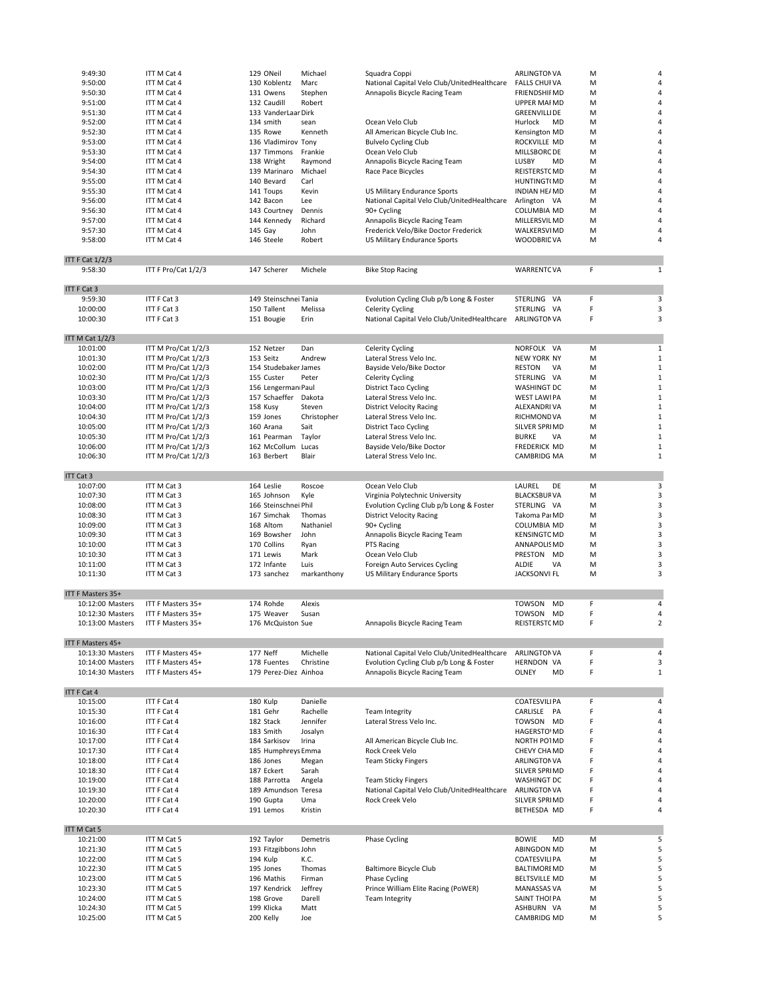| 9:49:30                | ITT M Cat 4         | 129 ONeil             | Michael     | Squadra Coppi                               | <b>ARLINGTON VA</b>  | M |                |
|------------------------|---------------------|-----------------------|-------------|---------------------------------------------|----------------------|---|----------------|
|                        |                     |                       |             |                                             |                      |   |                |
| 9:50:00                | ITT M Cat 4         | 130 Koblentz          | Marc        | National Capital Velo Club/UnitedHealthcare | <b>FALLS CHUFVA</b>  | M | 4              |
| 9:50:30                | ITT M Cat 4         | 131 Owens             | Stephen     | Annapolis Bicycle Racing Team               | <b>FRIENDSHIFMD</b>  | M | 4              |
| 9:51:00                | ITT M Cat 4         | 132 Caudill           | Robert      |                                             | <b>UPPER MAFMD</b>   | M | 4              |
| 9:51:30                | ITT M Cat 4         | 133 VanderLaar Dirk   |             |                                             | <b>GREENVILLIDE</b>  | M | 4              |
|                        |                     | 134 smith             | sean        | Ocean Velo Club                             | MD                   | M | 4              |
| 9:52:00                | ITT M Cat 4         |                       |             |                                             | Hurlock              |   |                |
| 9:52:30                | ITT M Cat 4         | 135 Rowe              | Kenneth     | All American Bicycle Club Inc.              | Kensington MD        | M | 4              |
| 9:53:00                | ITT M Cat 4         | 136 Vladimirov Tony   |             | <b>Bulvelo Cycling Club</b>                 | ROCKVILLE MD         | M | 4              |
| 9:53:30                | ITT M Cat 4         | 137 Timmons           | Frankie     | Ocean Velo Club                             | MILLSBORC DE         | M | 4              |
|                        |                     |                       |             |                                             |                      |   |                |
| 9:54:00                | ITT M Cat 4         | 138 Wright            | Raymond     | Annapolis Bicycle Racing Team               | LUSBY<br><b>MD</b>   | M | 4              |
| 9:54:30                | ITT M Cat 4         | 139 Marinaro          | Michael     | Race Pace Bicycles                          | REISTERSTCMD         | M | 4              |
| 9:55:00                | ITT M Cat 4         | 140 Bevard            | Carl        |                                             | HUNTINGT(MD          | M | 4              |
|                        | ITT M Cat 4         |                       | Kevin       |                                             | <b>INDIAN HE/MD</b>  | M | 4              |
| 9:55:30                |                     | 141 Toups             |             | US Military Endurance Sports                |                      |   |                |
| 9:56:00                | ITT M Cat 4         | 142 Bacon             | Lee         | National Capital Velo Club/UnitedHealthcare | Arlington VA         | M | 4              |
| 9:56:30                | ITT M Cat 4         | 143 Courtney          | Dennis      | 90+ Cycling                                 | COLUMBIA MD          | M | 4              |
| 9:57:00                | ITT M Cat 4         | 144 Kennedy           | Richard     | Annapolis Bicycle Racing Team               | MILLERSVIL MD        | M | 4              |
|                        | ITT M Cat 4         | 145 Gay               |             |                                             |                      |   |                |
| 9:57:30                |                     |                       | John        | Frederick Velo/Bike Doctor Frederick        | WALKERSVIMD          | M | 4              |
| 9:58:00                | ITT M Cat 4         | 146 Steele            | Robert      | US Military Endurance Sports                | <b>WOODBRIDVA</b>    | M | 4              |
|                        |                     |                       |             |                                             |                      |   |                |
| <b>ITT F Cat 1/2/3</b> |                     |                       |             |                                             |                      |   |                |
| 9:58:30                | ITT F Pro/Cat 1/2/3 | 147 Scherer           | Michele     | <b>Bike Stop Racing</b>                     | <b>WARRENTCVA</b>    | F | $\mathbf{1}$   |
|                        |                     |                       |             |                                             |                      |   |                |
|                        |                     |                       |             |                                             |                      |   |                |
| ITT F Cat 3            |                     |                       |             |                                             |                      |   |                |
| 9:59:30                | ITT F Cat 3         | 149 Steinschnei Tania |             | Evolution Cycling Club p/b Long & Foster    | STERLING VA          | F | 3              |
|                        |                     |                       |             |                                             |                      |   |                |
| 10:00:00               | ITT F Cat 3         | 150 Tallent           | Melissa     | <b>Celerity Cycling</b>                     | STERLING VA          | F | 3              |
| 10:00:30               | ITT F Cat 3         | 151 Bougie            | Erin        | National Capital Velo Club/UnitedHealthcare | <b>ARLINGTONVA</b>   | F | 3              |
|                        |                     |                       |             |                                             |                      |   |                |
| ITT M Cat 1/2/3        |                     |                       |             |                                             |                      |   |                |
|                        |                     |                       |             |                                             |                      |   |                |
| 10:01:00               | ITT M Pro/Cat 1/2/3 | 152 Netzer            | Dan         | <b>Celerity Cycling</b>                     | NORFOLK VA           | M | $\mathbf{1}$   |
| 10:01:30               | ITT M Pro/Cat 1/2/3 | 153 Seitz             | Andrew      | Lateral Stress Velo Inc.                    | <b>NEW YORK NY</b>   | M | $\mathbf{1}$   |
| 10:02:00               | ITT M Pro/Cat 1/2/3 | 154 Studebaker James  |             | Bayside Velo/Bike Doctor                    | <b>RESTON</b><br>VA  | M | $\mathbf{1}$   |
| 10:02:30               | ITT M Pro/Cat 1/2/3 | 155 Custer            | Peter       | <b>Celerity Cycling</b>                     | STERLING VA          | M | $\mathbf{1}$   |
|                        |                     |                       |             |                                             |                      |   |                |
| 10:03:00               | ITT M Pro/Cat 1/2/3 | 156 Lengerman Paul    |             | <b>District Taco Cycling</b>                | WASHINGT DC          | M | 1              |
| 10:03:30               | ITT M Pro/Cat 1/2/3 | 157 Schaeffer Dakota  |             | Lateral Stress Velo Inc.                    | <b>WEST LAWIPA</b>   | M | 1              |
| 10:04:00               | ITT M Pro/Cat 1/2/3 | 158 Kusy              | Steven      | <b>District Velocity Racing</b>             | ALEXANDRI VA         | M | $\mathbf{1}$   |
| 10:04:30               | ITT M Pro/Cat 1/2/3 | 159 Jones             | Christopher | Lateral Stress Velo Inc.                    | RICHMOND VA          | M | $\mathbf{1}$   |
|                        |                     |                       |             |                                             |                      |   |                |
| 10:05:00               | ITT M Pro/Cat 1/2/3 | 160 Arana             | Sait        | <b>District Taco Cycling</b>                | SILVER SPRIMD        | M | $\mathbf{1}$   |
| 10:05:30               | ITT M Pro/Cat 1/2/3 | 161 Pearman           | Taylor      | Lateral Stress Velo Inc.                    | <b>BURKE</b><br>VA   | M | 1              |
| 10:06:00               | ITT M Pro/Cat 1/2/3 | 162 McCollum          | Lucas       | Bayside Velo/Bike Doctor                    | FREDERICK MD         | M | 1              |
| 10:06:30               | ITT M Pro/Cat 1/2/3 | 163 Berbert           | Blair       | Lateral Stress Velo Inc.                    | CAMBRIDG MA          | M | 1              |
|                        |                     |                       |             |                                             |                      |   |                |
|                        |                     |                       |             |                                             |                      |   |                |
| ITT Cat 3              |                     |                       |             |                                             |                      |   |                |
| 10:07:00               | ITT M Cat 3         | 164 Leslie            | Roscoe      | Ocean Velo Club                             | LAUREL<br>DE         | М | 3              |
| 10:07:30               | ITT M Cat 3         | 165 Johnson           | Kyle        | Virginia Polytechnic University             | <b>BLACKSBURVA</b>   | М | 3              |
|                        |                     |                       |             |                                             |                      |   |                |
| 10:08:00               | ITT M Cat 3         | 166 Steinschnei Phil  |             | Evolution Cycling Club p/b Long & Foster    | STERLING VA          | M | 3              |
| 10:08:30               | ITT M Cat 3         | 167 Simchak           | Thomas      | <b>District Velocity Racing</b>             | Takoma Par MD        | M | 3              |
| 10:09:00               | ITT M Cat 3         | 168 Altom             | Nathaniel   | 90+ Cycling                                 | COLUMBIA MD          | M | 3              |
| 10:09:30               | ITT M Cat 3         | 169 Bowsher           | John        |                                             | <b>KENSINGTC MD</b>  | M | 3              |
|                        |                     |                       |             | Annapolis Bicycle Racing Team               |                      |   |                |
| 10:10:00               | ITT M Cat 3         | 170 Collins           | Ryan        | PTS Racing                                  | ANNAPOLIS MD         | M | 3              |
| 10:10:30               | ITT M Cat 3         | 171 Lewis             | Mark        | Ocean Velo Club                             | PRESTON MD           | M | 3              |
| 10:11:00               | ITT M Cat 3         | 172 Infante           | Luis        | Foreign Auto Services Cycling               | <b>ALDIE</b><br>VA   | M | 3              |
|                        |                     |                       |             |                                             |                      |   | 3              |
| 10:11:30               | ITT M Cat 3         | 173 sanchez           | markanthony | US Military Endurance Sports                | <b>JACKSONVIIFL</b>  | M |                |
|                        |                     |                       |             |                                             |                      |   |                |
| ITT F Masters 35+      |                     |                       |             |                                             |                      |   |                |
| 10:12:00 Masters       | ITT F Masters 35+   | 174 Rohde             | Alexis      |                                             | <b>TOWSON</b><br>MD  | F | 4              |
| 10:12:30 Masters       | ITT F Masters 35+   | 175 Weaver            | Susan       |                                             | TOWSON<br>MD         | F | 4              |
|                        |                     |                       |             |                                             |                      |   |                |
| 10:13:00 Masters       | ITT F Masters 35+   | 176 McQuiston Sue     |             | Annapolis Bicycle Racing Team               | REISTERSTCMD         | F | $\overline{2}$ |
|                        |                     |                       |             |                                             |                      |   |                |
| ITT F Masters 45+      |                     |                       |             |                                             |                      |   |                |
| 10:13:30 Masters       | ITT F Masters 45+   | 177 Neff              | Michelle    | National Capital Velo Club/UnitedHealthcare | <b>ARLINGTON VA</b>  | F | 4              |
|                        |                     |                       |             |                                             |                      |   |                |
| 10:14:00 Masters       | ITT F Masters 45+   | 178 Fuentes           | Christine   | Evolution Cycling Club p/b Long & Foster    | HERNDON VA           | F | 3              |
| 10:14:30 Masters       | ITT F Masters 45+   | 179 Perez-Diez Ainhoa |             | Annapolis Bicycle Racing Team               | OLNEY<br>MD          | F | $\mathbf{1}$   |
|                        |                     |                       |             |                                             |                      |   |                |
| ITT F Cat 4            |                     |                       |             |                                             |                      |   |                |
| 10:15:00               | ITT F Cat 4         | 180 Kulp              | Danielle    |                                             | <b>COATESVILIPA</b>  | F | 4              |
|                        |                     |                       |             |                                             |                      |   |                |
| 10:15:30               | ITT F Cat 4         | 181 Gehr              | Rachelle    | <b>Team Integrity</b>                       | CARLISLE PA          | F | 4              |
| 10:16:00               | ITT F Cat 4         | 182 Stack             | Jennifer    | Lateral Stress Velo Inc.                    | TOWSON MD            | F | 4              |
| 10:16:30               | ITT F Cat 4         | 183 Smith             | Josalyn     |                                             | <b>HAGERSTO MD</b>   | F | 4              |
| 10:17:00               | ITT F Cat 4         | 184 Sarkisov          | Irina       | All American Bicycle Club Inc.              | NORTH PO1MD          | F | 4              |
|                        |                     |                       |             |                                             |                      |   |                |
| 10:17:30               | ITT F Cat 4         | 185 Humphreys Emma    |             | Rock Creek Velo                             | CHEVY CHA MD         | F | 4              |
| 10:18:00               | ITT F Cat 4         | 186 Jones             | Megan       | <b>Team Sticky Fingers</b>                  | ARLINGTON VA         | F | 4              |
| 10:18:30               | ITT F Cat 4         | 187 Eckert            | Sarah       |                                             | SILVER SPRIMD        | F | 4              |
| 10:19:00               | ITT F Cat 4         | 188 Parrotta          | Angela      | <b>Team Sticky Fingers</b>                  | WASHINGT DC          | F | 4              |
|                        |                     |                       |             |                                             |                      |   |                |
| 10:19:30               | ITT F Cat 4         | 189 Amundson Teresa   |             | National Capital Velo Club/UnitedHealthcare | ARLINGTON VA         | F | 4              |
| 10:20:00               | ITT F Cat 4         | 190 Gupta             | Uma         | Rock Creek Velo                             | SILVER SPRIMD        | F | 4              |
| 10:20:30               | ITT F Cat 4         | 191 Lemos             | Kristin     |                                             | BETHESDA MD          | F | 4              |
|                        |                     |                       |             |                                             |                      |   |                |
|                        |                     |                       |             |                                             |                      |   |                |
| ITT M Cat 5            |                     |                       |             |                                             |                      |   |                |
| 10:21:00               | ITT M Cat 5         | 192 Taylor            | Demetris    | Phase Cycling                               | <b>BOWIE</b><br>MD   | M | 5              |
| 10:21:30               | ITT M Cat 5         | 193 Fitzgibbons John  |             |                                             | ABINGDON MD          | M | 5              |
|                        |                     | 194 Kulp              |             |                                             |                      |   |                |
|                        |                     |                       | K.C.        |                                             | <b>COATESVILIPA</b>  | M | 5              |
| 10:22:00               | ITT M Cat 5         |                       |             |                                             |                      |   |                |
| 10:22:30               | ITT M Cat 5         | 195 Jones             | Thomas      | Baltimore Bicycle Club                      | <b>BALTIMOREMD</b>   | M | 5              |
| 10:23:00               | ITT M Cat 5         | 196 Mathis            | Firman      | Phase Cycling                               | <b>BELTSVILLE MD</b> | M | 5              |
|                        |                     |                       |             |                                             |                      |   |                |
| 10:23:30               | ITT M Cat 5         | 197 Kendrick          | Jeffrey     | Prince William Elite Racing (PoWER)         | MANASSAS VA          | M | 5              |
| 10:24:00               | ITT M Cat 5         | 198 Grove             | Darell      | <b>Team Integrity</b>                       | SAINT THOIPA         | M | 5              |
| 10:24:30               | ITT M Cat 5         | 199 Klicka            | Matt        |                                             | ASHBURN VA           | M | 5              |
| 10:25:00               | ITT M Cat 5         | 200 Kelly             | Joe         |                                             | CAMBRIDG MD          | M | 5              |